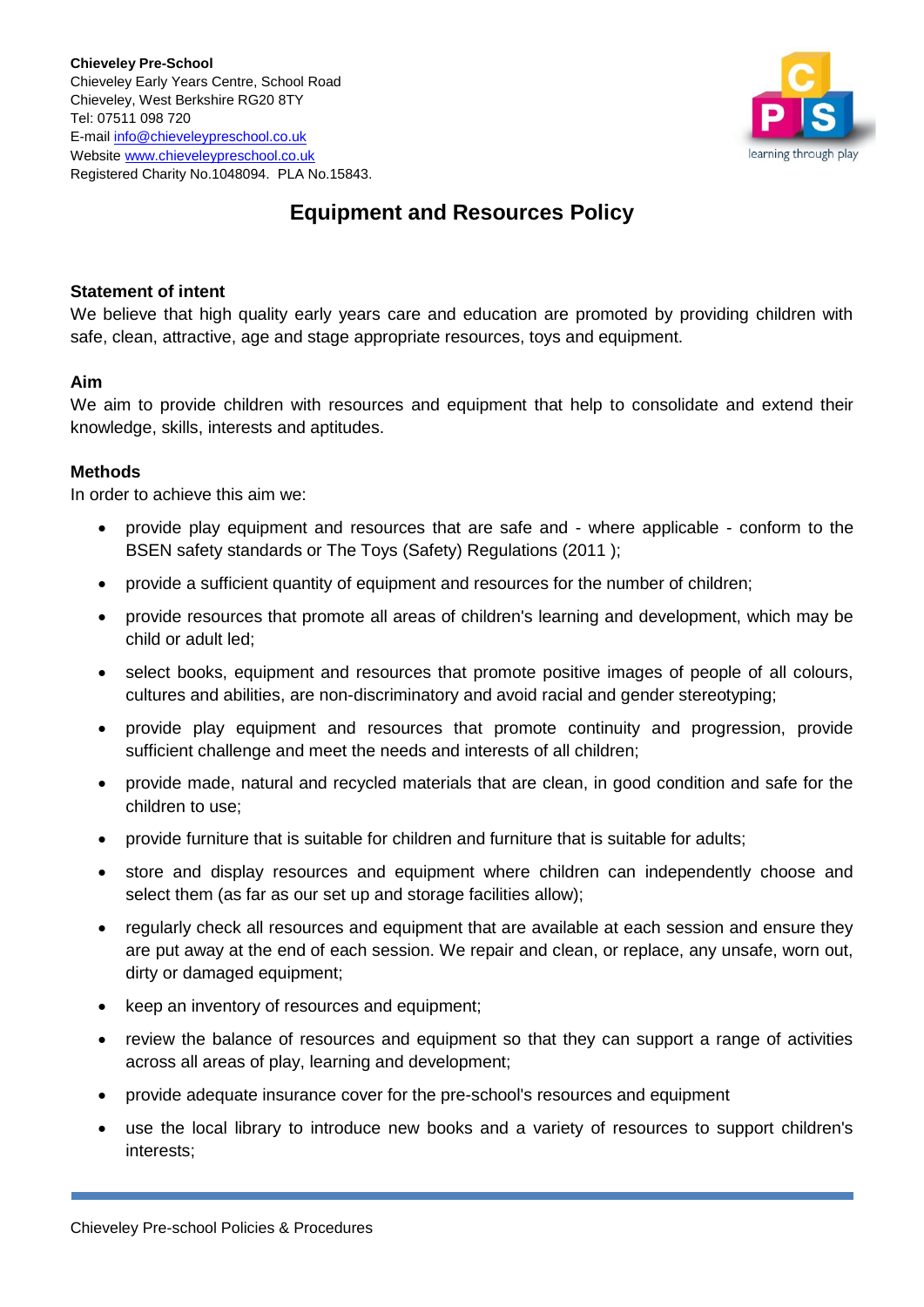

# **Equipment and Resources Policy**

## **Statement of intent**

We believe that high quality early years care and education are promoted by providing children with safe, clean, attractive, age and stage appropriate resources, toys and equipment.

## **Aim**

We aim to provide children with resources and equipment that help to consolidate and extend their knowledge, skills, interests and aptitudes.

## **Methods**

In order to achieve this aim we:

- provide play equipment and resources that are safe and where applicable conform to the BSEN safety standards or The Toys (Safety) Regulations (2011 );
- provide a sufficient quantity of equipment and resources for the number of children;
- provide resources that promote all areas of children's learning and development, which may be child or adult led;
- select books, equipment and resources that promote positive images of people of all colours, cultures and abilities, are non-discriminatory and avoid racial and gender stereotyping;
- provide play equipment and resources that promote continuity and progression, provide sufficient challenge and meet the needs and interests of all children;
- provide made, natural and recycled materials that are clean, in good condition and safe for the children to use;
- provide furniture that is suitable for children and furniture that is suitable for adults;
- store and display resources and equipment where children can independently choose and select them (as far as our set up and storage facilities allow);
- regularly check all resources and equipment that are available at each session and ensure they are put away at the end of each session. We repair and clean, or replace, any unsafe, worn out, dirty or damaged equipment;
- keep an inventory of resources and equipment;
- review the balance of resources and equipment so that they can support a range of activities across all areas of play, learning and development;
- provide adequate insurance cover for the pre-school's resources and equipment
- use the local library to introduce new books and a variety of resources to support children's interests;